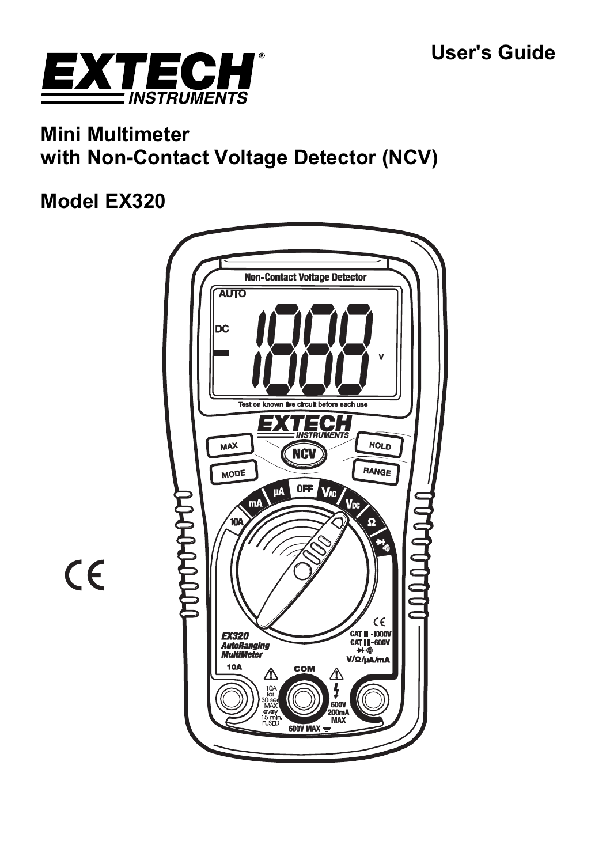

# **Mini Multimeter with Non-Contact Voltage Detector (NCV)**

# **Model EX320**



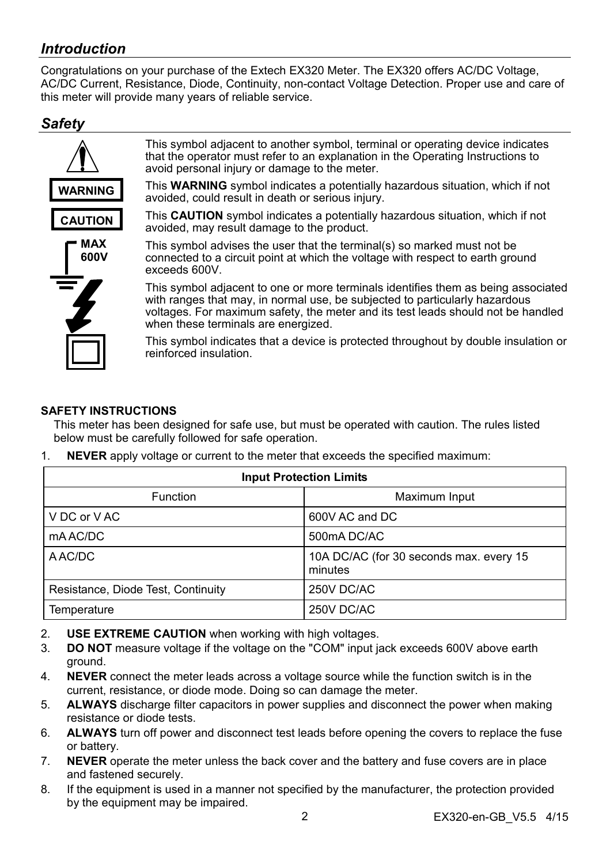# *Introduction*

Congratulations on your purchase of the Extech EX320 Meter. The EX320 offers AC/DC Voltage, AC/DC Current, Resistance, Diode, Continuity, non-contact Voltage Detection. Proper use and care of this meter will provide many years of reliable service.

### *Safety*



This symbol adjacent to another symbol, terminal or operating device indicates that the operator must refer to an explanation in the Operating Instructions to avoid personal injury or damage to the meter.

This **WARNING** symbol indicates a potentially hazardous situation, which if not avoided, could result in death or serious injury.



This **CAUTION** symbol indicates a potentially hazardous situation, which if not avoided, may result damage to the product.

This symbol advises the user that the terminal(s) so marked must not be connected to a circuit point at which the voltage with respect to earth ground exceeds 600V.

This symbol adjacent to one or more terminals identifies them as being associated with ranges that may, in normal use, be subjected to particularly hazardous voltages. For maximum safety, the meter and its test leads should not be handled when these terminals are energized.

This symbol indicates that a device is protected throughout by double insulation or reinforced insulation.

#### **SAFETY INSTRUCTIONS**

This meter has been designed for safe use, but must be operated with caution. The rules listed below must be carefully followed for safe operation.

- **Input Protection Limits**  Function **Nation Function Maximum Input** V DC or V AC 600V AC and DC mA AC/DC 500mA DC/AC A AC/DC 10A DC/AC (for 30 seconds max. every 15 minutes Resistance, Diode Test, Continuity | 250V DC/AC Temperature 250V DC/AC
- 1. **NEVER** apply voltage or current to the meter that exceeds the specified maximum:

- 2. **USE EXTREME CAUTION** when working with high voltages.
- 3. **DO NOT** measure voltage if the voltage on the "COM" input jack exceeds 600V above earth ground.
- 4. **NEVER** connect the meter leads across a voltage source while the function switch is in the current, resistance, or diode mode. Doing so can damage the meter.
- 5. **ALWAYS** discharge filter capacitors in power supplies and disconnect the power when making resistance or diode tests.
- 6. **ALWAYS** turn off power and disconnect test leads before opening the covers to replace the fuse or battery.
- 7. **NEVER** operate the meter unless the back cover and the battery and fuse covers are in place and fastened securely.
- 8. If the equipment is used in a manner not specified by the manufacturer, the protection provided by the equipment may be impaired.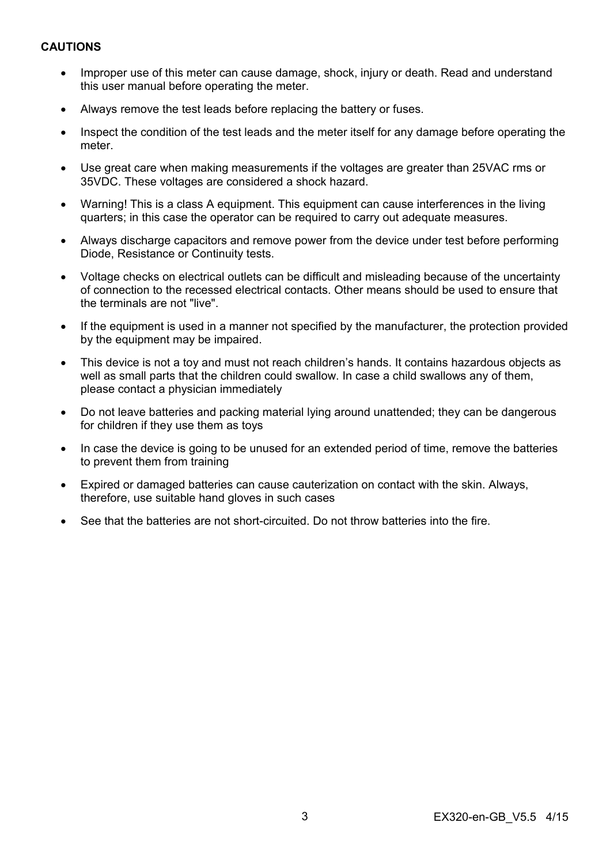#### **CAUTIONS**

- Improper use of this meter can cause damage, shock, injury or death. Read and understand this user manual before operating the meter.
- Always remove the test leads before replacing the battery or fuses.
- Inspect the condition of the test leads and the meter itself for any damage before operating the meter.
- Use great care when making measurements if the voltages are greater than 25VAC rms or 35VDC. These voltages are considered a shock hazard.
- Warning! This is a class A equipment. This equipment can cause interferences in the living quarters; in this case the operator can be required to carry out adequate measures.
- Always discharge capacitors and remove power from the device under test before performing Diode, Resistance or Continuity tests.
- Voltage checks on electrical outlets can be difficult and misleading because of the uncertainty of connection to the recessed electrical contacts. Other means should be used to ensure that the terminals are not "live".
- If the equipment is used in a manner not specified by the manufacturer, the protection provided by the equipment may be impaired.
- This device is not a toy and must not reach children's hands. It contains hazardous objects as well as small parts that the children could swallow. In case a child swallows any of them, please contact a physician immediately
- Do not leave batteries and packing material lying around unattended; they can be dangerous for children if they use them as toys
- In case the device is going to be unused for an extended period of time, remove the batteries to prevent them from training
- Expired or damaged batteries can cause cauterization on contact with the skin. Always, therefore, use suitable hand gloves in such cases
- See that the batteries are not short-circuited. Do not throw batteries into the fire.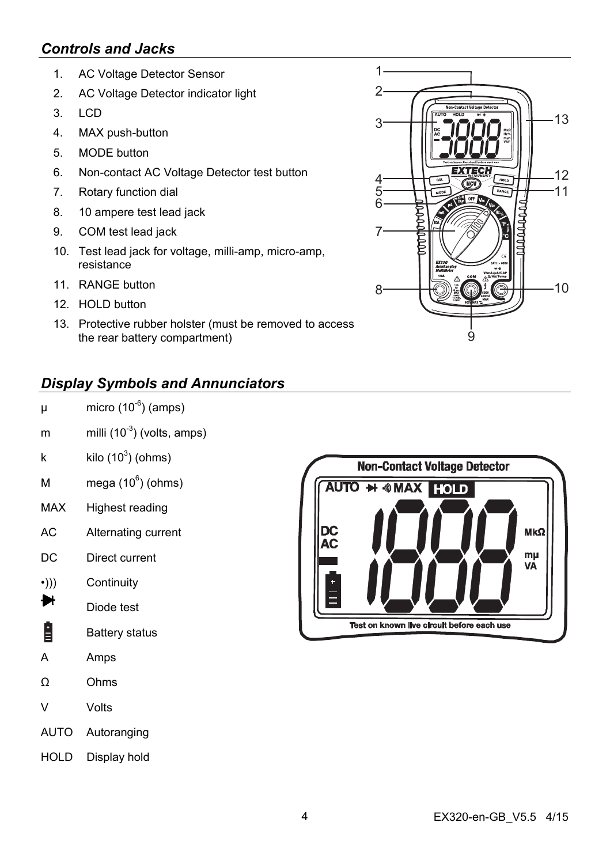## *Controls and Jacks*

- 1. AC Voltage Detector Sensor
- 2. AC Voltage Detector indicator light
- $3$  LCD
- 4. MAX push-button
- 5. MODE button
- 6. Non-contact AC Voltage Detector test button
- 7. Rotary function dial
- 8. 10 ampere test lead jack
- 9. COM test lead jack
- 10. Test lead jack for voltage, milli-amp, micro-amp, resistance
- 11. RANGE button
- 12. HOLD button
- 13. Protective rubber holster (must be removed to access the rear battery compartment)

# *Display Symbols and Annunciators*

- $\mu$  micro (10<sup>-6</sup>) (amps)
- m milli  $(10^{-3})$  (volts, amps)
- k kilo  $(10^3)$  (ohms)
- M mega  $(10^6)$  (ohms)
- MAX Highest reading
- AC Alternating current
- DC Direct current
- •))) Continuity
- ₩ Diode test
- Ĥ Battery status
- A Amps
- Ω Ohms
- V Volts
- AUTO Autoranging
- HOLD Display hold



Test on known live circuit before each use

12

 $-11$ 

13

 $1 \overline{2}$ 

3

4 5 6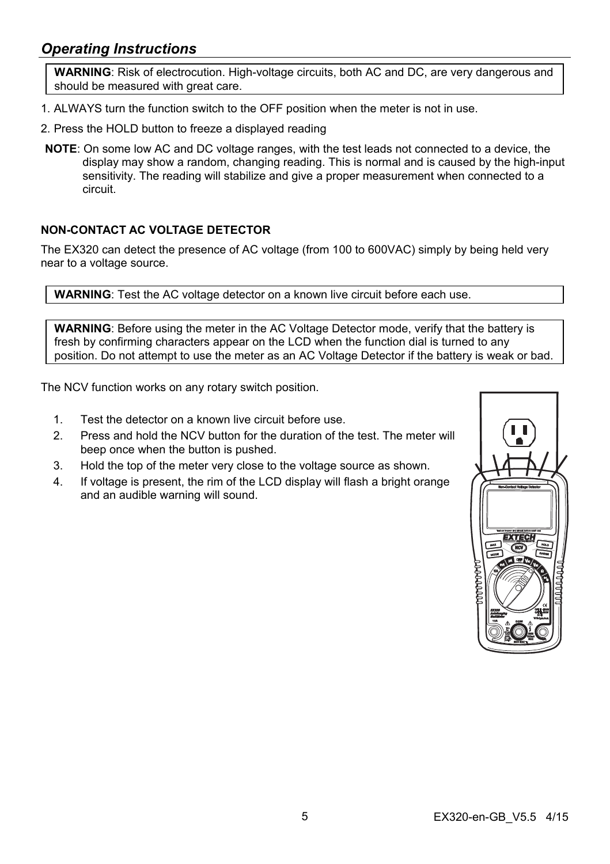### *Operating Instructions*

**WARNING**: Risk of electrocution. High-voltage circuits, both AC and DC, are very dangerous and should be measured with great care.

- 1. ALWAYS turn the function switch to the OFF position when the meter is not in use.
- 2. Press the HOLD button to freeze a displayed reading
- **NOTE**: On some low AC and DC voltage ranges, with the test leads not connected to a device, the display may show a random, changing reading. This is normal and is caused by the high-input sensitivity. The reading will stabilize and give a proper measurement when connected to a circuit.

#### **NON-CONTACT AC VOLTAGE DETECTOR**

The EX320 can detect the presence of AC voltage (from 100 to 600VAC) simply by being held very near to a voltage source.

**WARNING**: Test the AC voltage detector on a known live circuit before each use.

**WARNING**: Before using the meter in the AC Voltage Detector mode, verify that the battery is fresh by confirming characters appear on the LCD when the function dial is turned to any position. Do not attempt to use the meter as an AC Voltage Detector if the battery is weak or bad.

The NCV function works on any rotary switch position.

- 1. Test the detector on a known live circuit before use.
- 2. Press and hold the NCV button for the duration of the test. The meter will beep once when the button is pushed.
- 3. Hold the top of the meter very close to the voltage source as shown.
- 4. If voltage is present, the rim of the LCD display will flash a bright orange and an audible warning will sound.

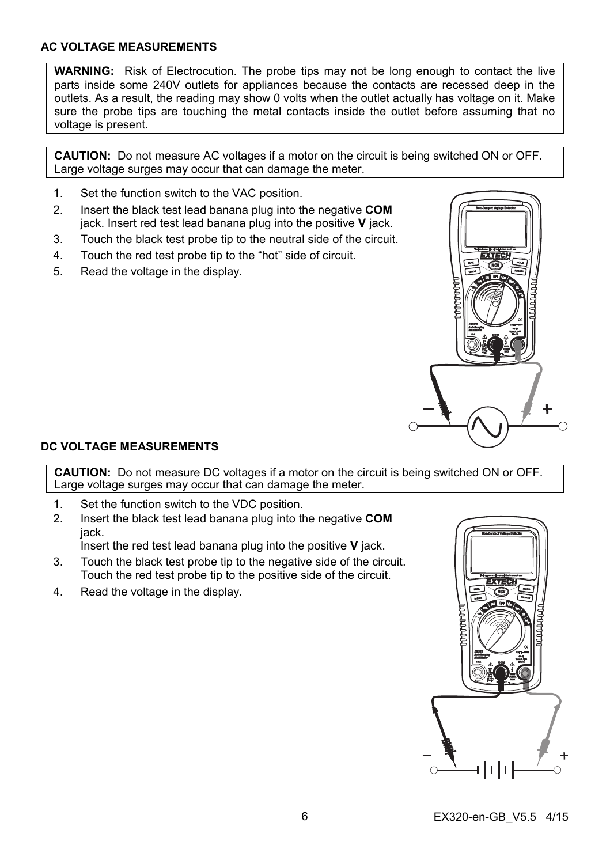#### **AC VOLTAGE MEASUREMENTS**

**WARNING:** Risk of Electrocution. The probe tips may not be long enough to contact the live parts inside some 240V outlets for appliances because the contacts are recessed deep in the outlets. As a result, the reading may show 0 volts when the outlet actually has voltage on it. Make sure the probe tips are touching the metal contacts inside the outlet before assuming that no voltage is present.

**CAUTION:** Do not measure AC voltages if a motor on the circuit is being switched ON or OFF. Large voltage surges may occur that can damage the meter.

- 1. Set the function switch to the VAC position.
- 2. Insert the black test lead banana plug into the negative **COM** jack. Insert red test lead banana plug into the positive **V** jack.
- 3. Touch the black test probe tip to the neutral side of the circuit.
- 4. Touch the red test probe tip to the "hot" side of circuit.
- 5. Read the voltage in the display.



#### **DC VOLTAGE MEASUREMENTS**

**CAUTION:** Do not measure DC voltages if a motor on the circuit is being switched ON or OFF. Large voltage surges may occur that can damage the meter.

- 1. Set the function switch to the VDC position.
- 2. Insert the black test lead banana plug into the negative **COM** jack.

Insert the red test lead banana plug into the positive **V** jack.

- 3. Touch the black test probe tip to the negative side of the circuit. Touch the red test probe tip to the positive side of the circuit.
- 4. Read the voltage in the display.

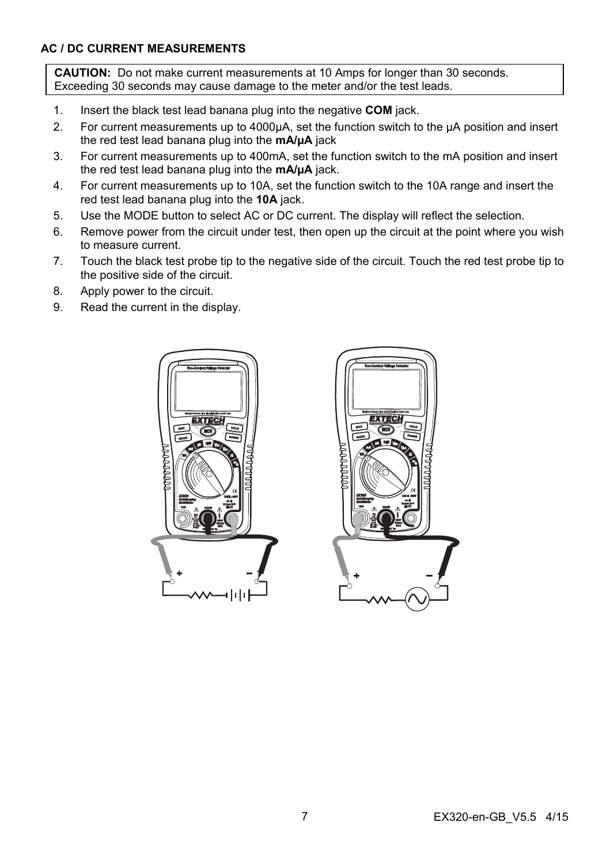#### **AC / DC CURRENT MEASUREMENTS**

**CAUTION:** Do not make current measurements at 10 Amps for longer than 30 seconds. Exceeding 30 seconds may cause damage to the meter and/or the test leads.

- 1. Insert the black test lead banana plug into the negative **COM** jack.
- 2. For current measurements up to 4000µA, set the function switch to the µA position and insert the red test lead banana plug into the **mA/µA** jack
- 3. For current measurements up to 400mA, set the function switch to the mA position and insert the red test lead banana plug into the **mA/µA** jack.
- 4. For current measurements up to 10A, set the function switch to the 10A range and insert the red test lead banana plug into the **10A** jack.
- 5. Use the MODE button to select AC or DC current. The display will reflect the selection.
- 6. Remove power from the circuit under test, then open up the circuit at the point where you wish to measure current.
- 7. Touch the black test probe tip to the negative side of the circuit. Touch the red test probe tip to the positive side of the circuit.
- 8. Apply power to the circuit.
- 9. Read the current in the display.



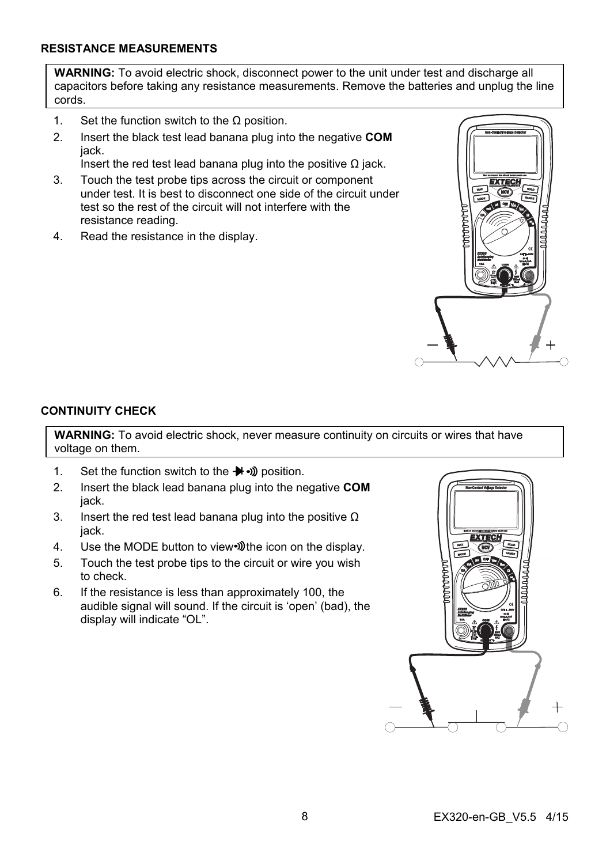#### **RESISTANCE MEASUREMENTS**

**WARNING:** To avoid electric shock, disconnect power to the unit under test and discharge all capacitors before taking any resistance measurements. Remove the batteries and unplug the line cords.

- 1. Set the function switch to the  $\Omega$  position.
- 2. Insert the black test lead banana plug into the negative **COM** jack.
	- Insert the red test lead banana plug into the positive  $\Omega$  jack.
- 3. Touch the test probe tips across the circuit or component under test. It is best to disconnect one side of the circuit under test so the rest of the circuit will not interfere with the resistance reading.
- 4. Read the resistance in the display.



#### **CONTINUITY CHECK**

**WARNING:** To avoid electric shock, never measure continuity on circuits or wires that have voltage on them.

- 1. Set the function switch to the position.
- 2. Insert the black lead banana plug into the negative **COM** jack.
- 3. Insert the red test lead banana plug into the positive  $\Omega$ jack.
- 4. Use the MODE button to view<sup>-buth</sup> the icon on the display.
- 5. Touch the test probe tips to the circuit or wire you wish to check.
- 6. If the resistance is less than approximately 100, the audible signal will sound. If the circuit is 'open' (bad), the display will indicate "OL".

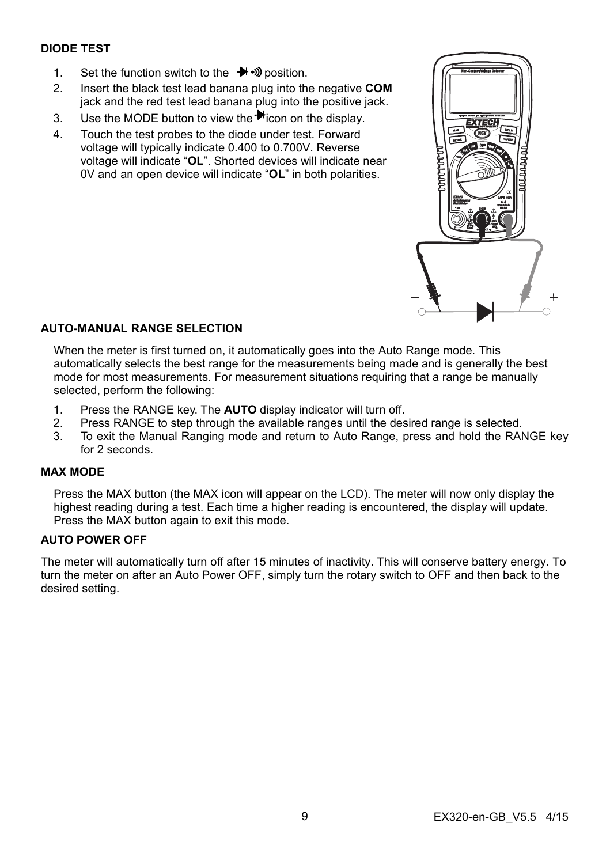#### **DIODE TEST**

- 1. Set the function switch to the  $\rightarrow$   $\rightarrow$  position.
- 2. Insert the black test lead banana plug into the negative **COM** jack and the red test lead banana plug into the positive jack.
- 3. Use the MODE button to view the  $\blacktriangleright$  icon on the display.
- 4. Touch the test probes to the diode under test. Forward voltage will typically indicate 0.400 to 0.700V. Reverse voltage will indicate "**OL**". Shorted devices will indicate near 0V and an open device will indicate "**OL**" in both polarities.



#### **AUTO-MANUAL RANGE SELECTION**

When the meter is first turned on, it automatically goes into the Auto Range mode. This automatically selects the best range for the measurements being made and is generally the best mode for most measurements. For measurement situations requiring that a range be manually selected, perform the following:

- 1. Press the RANGE key. The **AUTO** display indicator will turn off.
- 2. Press RANGE to step through the available ranges until the desired range is selected.
- 3. To exit the Manual Ranging mode and return to Auto Range, press and hold the RANGE key for 2 seconds.

#### **MAX MODE**

Press the MAX button (the MAX icon will appear on the LCD). The meter will now only display the highest reading during a test. Each time a higher reading is encountered, the display will update. Press the MAX button again to exit this mode.

#### **AUTO POWER OFF**

The meter will automatically turn off after 15 minutes of inactivity. This will conserve battery energy. To turn the meter on after an Auto Power OFF, simply turn the rotary switch to OFF and then back to the desired setting.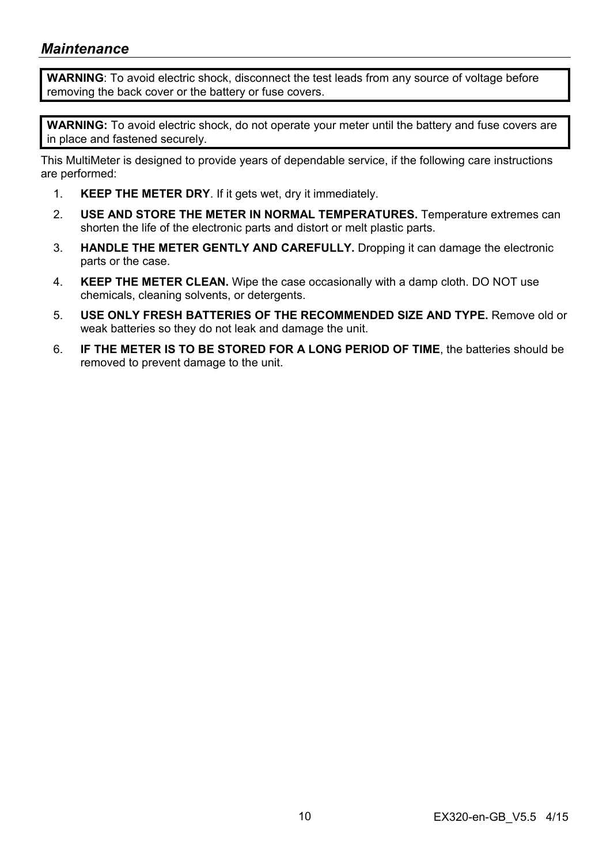### *Maintenance*

**WARNING**: To avoid electric shock, disconnect the test leads from any source of voltage before removing the back cover or the battery or fuse covers.

**WARNING:** To avoid electric shock, do not operate your meter until the battery and fuse covers are in place and fastened securely.

This MultiMeter is designed to provide years of dependable service, if the following care instructions are performed:

- 1. **KEEP THE METER DRY**. If it gets wet, dry it immediately.
- 2. **USE AND STORE THE METER IN NORMAL TEMPERATURES.** Temperature extremes can shorten the life of the electronic parts and distort or melt plastic parts.
- 3. **HANDLE THE METER GENTLY AND CAREFULLY.** Dropping it can damage the electronic parts or the case.
- 4. **KEEP THE METER CLEAN.** Wipe the case occasionally with a damp cloth. DO NOT use chemicals, cleaning solvents, or detergents.
- 5. **USE ONLY FRESH BATTERIES OF THE RECOMMENDED SIZE AND TYPE.** Remove old or weak batteries so they do not leak and damage the unit.
- 6. **IF THE METER IS TO BE STORED FOR A LONG PERIOD OF TIME**, the batteries should be removed to prevent damage to the unit.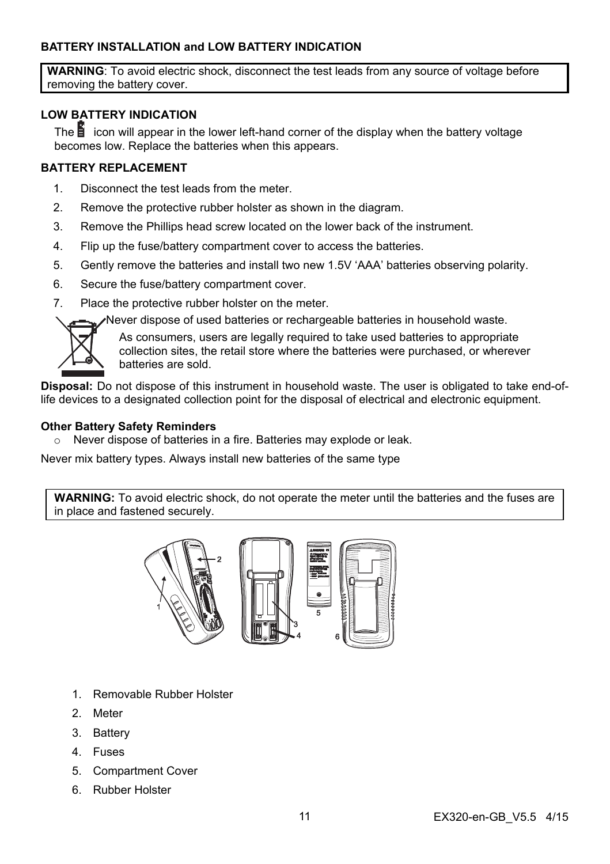#### **BATTERY INSTALLATION and LOW BATTERY INDICATION**

**WARNING**: To avoid electric shock, disconnect the test leads from any source of voltage before removing the battery cover.

#### **LOW BATTERY INDICATION**

The  $\mathbf{E}$  icon will appear in the lower left-hand corner of the display when the battery voltage becomes low. Replace the batteries when this appears.

#### **BATTERY REPLACEMENT**

- 1. Disconnect the test leads from the meter.
- 2. Remove the protective rubber holster as shown in the diagram.
- 3. Remove the Phillips head screw located on the lower back of the instrument.
- 4. Flip up the fuse/battery compartment cover to access the batteries.
- 5. Gently remove the batteries and install two new 1.5V 'AAA' batteries observing polarity.
- 6. Secure the fuse/battery compartment cover.
- 7. Place the protective rubber holster on the meter.

Never dispose of used batteries or rechargeable batteries in household waste.



As consumers, users are legally required to take used batteries to appropriate collection sites, the retail store where the batteries were purchased, or wherever batteries are sold.

**Disposal:** Do not dispose of this instrument in household waste. The user is obligated to take end-oflife devices to a designated collection point for the disposal of electrical and electronic equipment.

#### **Other Battery Safety Reminders**

 $\circ$  Never dispose of batteries in a fire. Batteries may explode or leak.

Never mix battery types. Always install new batteries of the same type

**WARNING:** To avoid electric shock, do not operate the meter until the batteries and the fuses are in place and fastened securely.



- 1. Removable Rubber Holster
- 2. Meter
- 3. Battery
- 4. Fuses
- 5. Compartment Cover
- 6. Rubber Holster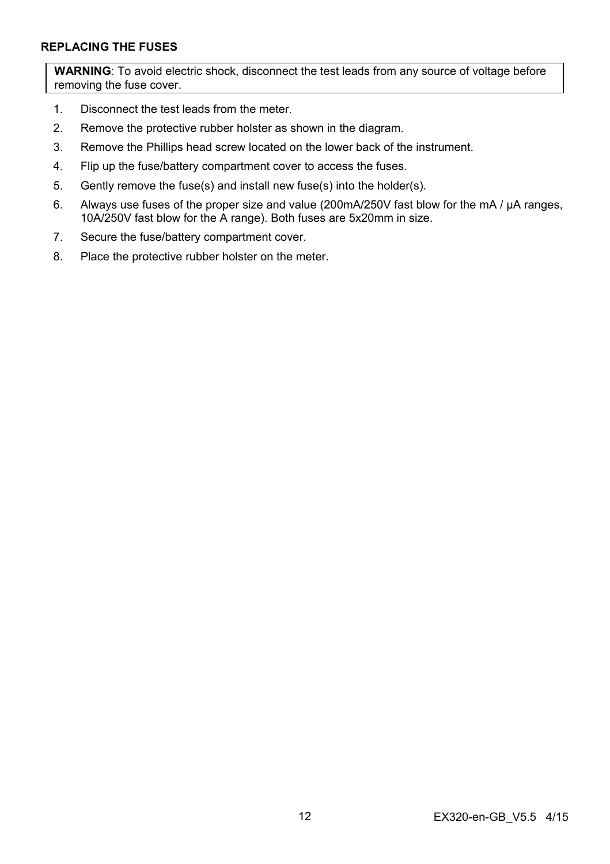#### **REPLACING THE FUSES**

**WARNING**: To avoid electric shock, disconnect the test leads from any source of voltage before removing the fuse cover.

- 1. Disconnect the test leads from the meter.
- 2. Remove the protective rubber holster as shown in the diagram.
- 3. Remove the Phillips head screw located on the lower back of the instrument.
- 4. Flip up the fuse/battery compartment cover to access the fuses.
- 5. Gently remove the fuse(s) and install new fuse(s) into the holder(s).
- 6. Always use fuses of the proper size and value (200mA/250V fast blow for the mA / µA ranges, 10A/250V fast blow for the A range). Both fuses are 5x20mm in size.
- 7. Secure the fuse/battery compartment cover.
- 8. Place the protective rubber holster on the meter.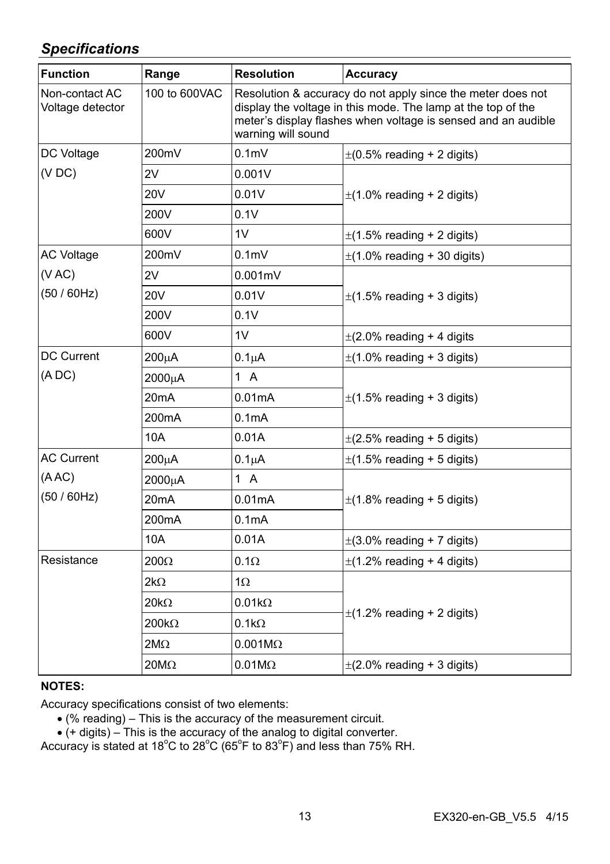# *Specifications*

| <b>Function</b>                    | Range              | <b>Resolution</b>                                                                                                                                                                                                  | <b>Accuracy</b>                                                   |
|------------------------------------|--------------------|--------------------------------------------------------------------------------------------------------------------------------------------------------------------------------------------------------------------|-------------------------------------------------------------------|
| Non-contact AC<br>Voltage detector | 100 to 600VAC      | Resolution & accuracy do not apply since the meter does not<br>display the voltage in this mode. The lamp at the top of the<br>meter's display flashes when voltage is sensed and an audible<br>warning will sound |                                                                   |
| DC Voltage                         | 200mV              | 0.1 <sub>m</sub>                                                                                                                                                                                                   | $\pm$ (0.5% reading + 2 digits)                                   |
| (VDC)                              | 2V                 | 0.001V                                                                                                                                                                                                             | $\pm$ (1.0% reading + 2 digits)                                   |
|                                    | 20V                | 0.01V                                                                                                                                                                                                              |                                                                   |
|                                    | 200V               | 0.1V                                                                                                                                                                                                               |                                                                   |
|                                    | 600V               | 1V                                                                                                                                                                                                                 | $\pm$ (1.5% reading + 2 digits)                                   |
| <b>AC Voltage</b>                  | 200mV              | 0.1 <sub>m</sub>                                                                                                                                                                                                   | $\pm$ (1.0% reading + 30 digits)                                  |
| (VAC)<br>(50/60Hz)                 | 2V                 | $0.001$ m $V$                                                                                                                                                                                                      | $\pm$ (1.5% reading + 3 digits)<br>$\pm$ (2.0% reading + 4 digits |
|                                    | 20V                | 0.01V                                                                                                                                                                                                              |                                                                   |
|                                    | 200V               | 0.1V                                                                                                                                                                                                               |                                                                   |
|                                    | 600V               | 1V                                                                                                                                                                                                                 |                                                                   |
| <b>DC Current</b>                  | $200\mu A$         | $0.1\muA$                                                                                                                                                                                                          | $\pm$ (1.0% reading + 3 digits)                                   |
| (ADC)                              | 2000µA             | 1 A                                                                                                                                                                                                                | $\pm$ (1.5% reading + 3 digits)                                   |
|                                    | 20 <sub>m</sub> A  | 0.01mA                                                                                                                                                                                                             |                                                                   |
|                                    | 200 <sub>m</sub> A | 0.1 <sub>m</sub> A                                                                                                                                                                                                 |                                                                   |
|                                    | 10A                | 0.01A                                                                                                                                                                                                              | $\pm$ (2.5% reading + 5 digits)                                   |
| <b>AC Current</b>                  | $200\mu A$         | $0.1\mu$ A                                                                                                                                                                                                         | $\pm$ (1.5% reading + 5 digits)                                   |
| (ABC)<br>(50/60Hz)                 | 2000µA             | 1 A                                                                                                                                                                                                                | $\pm$ (1.8% reading + 5 digits)                                   |
|                                    | 20 <sub>m</sub> A  | 0.01mA                                                                                                                                                                                                             |                                                                   |
|                                    | 200 <sub>m</sub> A | 0.1 <sub>m</sub> A                                                                                                                                                                                                 |                                                                   |
|                                    | 10A                | 0.01A                                                                                                                                                                                                              | $\pm$ (3.0% reading + 7 digits)                                   |
| Resistance                         | $200\Omega$        | $0.1\Omega$                                                                                                                                                                                                        | $\pm$ (1.2% reading + 4 digits)                                   |
|                                    | $2k\Omega$         | 1Ω                                                                                                                                                                                                                 | $\pm$ (1.2% reading + 2 digits)                                   |
|                                    | $20k\Omega$        | $0.01k\Omega$                                                                                                                                                                                                      |                                                                   |
|                                    | 200k $\Omega$      | $0.1k\Omega$                                                                                                                                                                                                       |                                                                   |
|                                    | $2M\Omega$         | $0.001M\Omega$                                                                                                                                                                                                     |                                                                   |
|                                    | $20M\Omega$        | $0.01M\Omega$                                                                                                                                                                                                      | $\pm$ (2.0% reading + 3 digits)                                   |

#### **NOTES:**

Accuracy specifications consist of two elements:

(% reading) – This is the accuracy of the measurement circuit.

• (+ digits) – This is the accuracy of the analog to digital converter.<br>Accuracy is stated at 18°C to 28°C (65°F to 83°F) and less than 75% RH.